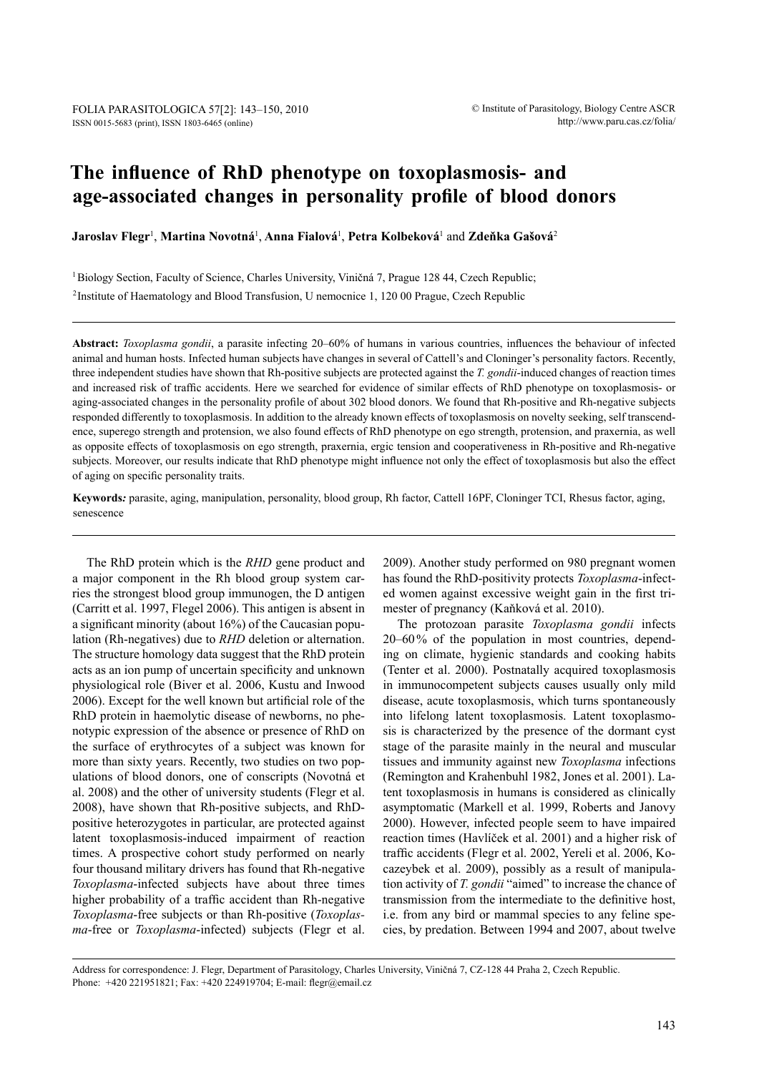# **The influence of RhD phenotype on toxoplasmosis- and age-associated changes in personality profile of blood donors**

**Jaroslav Flegr**<sup>1</sup> , **Martina Novotná**<sup>1</sup> , **Anna Fialová**<sup>1</sup> , **Petra Kolbeková**<sup>1</sup> and **Zdeňka Gašová**<sup>2</sup>

<sup>1</sup>Biology Section, Faculty of Science, Charles University, Viničná 7, Prague 128 44, Czech Republic;

2Institute of Haematology and Blood Transfusion, U nemocnice 1, 120 00 Prague, Czech Republic

**Abstract:** *Toxoplasma gondii*, a parasite infecting 20–60% of humans in various countries, influences the behaviour of infected animal and human hosts. Infected human subjects have changes in several of Cattell's and Cloninger's personality factors. Recently, three independent studies have shown that Rh-positive subjects are protected against the *T. gondii*-induced changes of reaction times and increased risk of traffic accidents. Here we searched for evidence of similar effects of RhD phenotype on toxoplasmosis- or aging-associated changes in the personality profile of about 302 blood donors. We found that Rh-positive and Rh-negative subjects responded differently to toxoplasmosis. In addition to the already known effects of toxoplasmosis on novelty seeking, self transcendence, superego strength and protension, we also found effects of RhD phenotype on ego strength, protension, and praxernia, as well as opposite effects of toxoplasmosis on ego strength, praxernia, ergic tension and cooperativeness in Rh-positive and Rh-negative subjects. Moreover, our results indicate that RhD phenotype might influence not only the effect of toxoplasmosis but also the effect of aging on specific personality traits.

**Keywords***:* parasite, aging, manipulation, personality, blood group, Rh factor, Cattell 16PF, Cloninger TCI, Rhesus factor, aging, senescence

The RhD protein which is the *RHD* gene product and a major component in the Rh blood group system carries the strongest blood group immunogen, the D antigen (Carritt et al. 1997, Flegel 2006). This antigen is absent in a significant minority (about 16%) of the Caucasian population (Rh-negatives) due to *RHD* deletion or alternation. The structure homology data suggest that the RhD protein acts as an ion pump of uncertain specificity and unknown physiological role (Biver et al. 2006, Kustu and Inwood 2006). Except for the well known but artificial role of the RhD protein in haemolytic disease of newborns, no phenotypic expression of the absence or presence of RhD on the surface of erythrocytes of a subject was known for more than sixty years. Recently, two studies on two populations of blood donors, one of conscripts (Novotná et al. 2008) and the other of university students (Flegr et al. 2008), have shown that Rh-positive subjects, and RhDpositive heterozygotes in particular, are protected against latent toxoplasmosis-induced impairment of reaction times. A prospective cohort study performed on nearly four thousand military drivers has found that Rh-negative *Toxoplasma*-infected subjects have about three times higher probability of a traffic accident than Rh-negative *Toxoplasma*-free subjects or than Rh-positive (*Toxoplasma*-free or *Toxoplasma*-infected) subjects (Flegr et al.

2009). Another study performed on 980 pregnant women has found the RhD-positivity protects *Toxoplasma*-infected women against excessive weight gain in the first trimester of pregnancy (Kaňková et al. 2010).

The protozoan parasite *Toxoplasma gondii* infects 20–60% of the population in most countries, depending on climate, hygienic standards and cooking habits (Tenter et al. 2000). Postnatally acquired toxoplasmosis in immunocompetent subjects causes usually only mild disease, acute toxoplasmosis, which turns spontaneously into lifelong latent toxoplasmosis. Latent toxoplasmosis is characterized by the presence of the dormant cyst stage of the parasite mainly in the neural and muscular tissues and immunity against new *Toxoplasma* infections (Remington and Krahenbuhl 1982, Jones et al. 2001). Latent toxoplasmosis in humans is considered as clinically asymptomatic (Markell et al. 1999, Roberts and Janovy 2000). However, infected people seem to have impaired reaction times (Havlíček et al. 2001) and a higher risk of traffic accidents (Flegr et al. 2002, Yereli et al. 2006, Kocazeybek et al. 2009), possibly as a result of manipulation activity of *T. gondii* "aimed" to increase the chance of transmission from the intermediate to the definitive host, i.e. from any bird or mammal species to any feline species, by predation. Between 1994 and 2007, about twelve

Address for correspondence: J. Flegr, Department of Parasitology, Charles University, Viničná 7, CZ-128 44 Praha 2, Czech Republic. Phone: +420 221951821; Fax: +420 224919704; E-mail: flegr@email.cz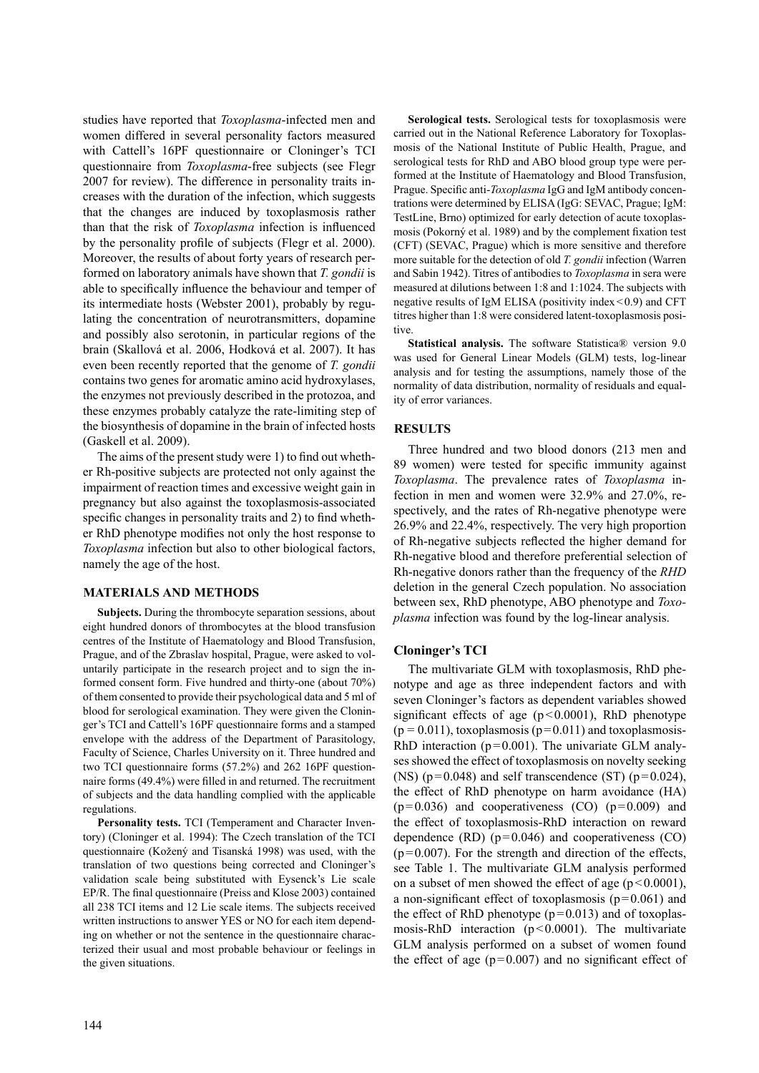studies have reported that *Toxoplasma*-infected men and women differed in several personality factors measured with Cattell's 16PF questionnaire or Cloninger's TCI questionnaire from *Toxoplasma*-free subjects (see Flegr 2007 for review). The difference in personality traits increases with the duration of the infection, which suggests that the changes are induced by toxoplasmosis rather than that the risk of *Toxoplasma* infection is influenced by the personality profile of subjects (Flegr et al. 2000). Moreover, the results of about forty years of research performed on laboratory animals have shown that *T. gondii* is able to specifically influence the behaviour and temper of its intermediate hosts (Webster 2001), probably by regulating the concentration of neurotransmitters, dopamine and possibly also serotonin, in particular regions of the brain (Skallová et al. 2006, Hodková et al. 2007). It has even been recently reported that the genome of *T. gondii* contains two genes for aromatic amino acid hydroxylases, the enzymes not previously described in the protozoa, and these enzymes probably catalyze the rate-limiting step of the biosynthesis of dopamine in the brain of infected hosts (Gaskell et al. 2009).

The aims of the present study were 1) to find out whether Rh-positive subjects are protected not only against the impairment of reaction times and excessive weight gain in pregnancy but also against the toxoplasmosis-associated specific changes in personality traits and 2) to find whether RhD phenotype modifies not only the host response to *Toxoplasma* infection but also to other biological factors, namely the age of the host.

### **MATERIALS AND METHODS**

**Subjects.** During the thrombocyte separation sessions, about eight hundred donors of thrombocytes at the blood transfusion centres of the Institute of Haematology and Blood Transfusion, Prague, and of the Zbraslav hospital, Prague, were asked to voluntarily participate in the research project and to sign the informed consent form. Five hundred and thirty-one (about 70%) of them consented to provide their psychological data and 5 ml of blood for serological examination. They were given the Cloninger's TCI and Cattell's 16PF questionnaire forms and a stamped envelope with the address of the Department of Parasitology, Faculty of Science, Charles University on it. Three hundred and two TCI questionnaire forms (57.2%) and 262 16PF questionnaire forms (49.4%) were filled in and returned. The recruitment of subjects and the data handling complied with the applicable regulations.

**Personality tests.** TCI (Temperament and Character Inventory) (Cloninger et al. 1994): The Czech translation of the TCI questionnaire (Kožený and Tisanská 1998) was used, with the translation of two questions being corrected and Cloninger's validation scale being substituted with Eysenck's Lie scale EP/R. The final questionnaire (Preiss and Klose 2003) contained all 238 TCI items and 12 Lie scale items. The subjects received written instructions to answer YES or NO for each item depending on whether or not the sentence in the questionnaire characterized their usual and most probable behaviour or feelings in the given situations.

**Serological tests.** Serological tests for toxoplasmosis were carried out in the National Reference Laboratory for Toxoplasmosis of the National Institute of Public Health, Prague, and serological tests for RhD and ABO blood group type were performed at the Institute of Haematology and Blood Transfusion, Prague. Specific anti-*Toxoplasma* IgG and IgM antibody concentrations were determined by ELISA (IgG: SEVAC, Prague; IgM: TestLine, Brno) optimized for early detection of acute toxoplasmosis (Pokorný et al. 1989) and by the complement fixation test (CFT) (SEVAC, Prague) which is more sensitive and therefore more suitable for the detection of old *T. gondii* infection (Warren and Sabin 1942). Titres of antibodies to *Toxoplasma* in sera were measured at dilutions between 1:8 and 1:1024. The subjects with negative results of IgM ELISA (positivity index<0.9) and CFT titres higher than 1:8 were considered latent-toxoplasmosis positive.

**Statistical analysis.** The software Statistica® version 9.0 was used for General Linear Models (GLM) tests, log-linear analysis and for testing the assumptions, namely those of the normality of data distribution, normality of residuals and equality of error variances.

# **RESULTS**

Three hundred and two blood donors (213 men and 89 women) were tested for specific immunity against *Toxoplasma*. The prevalence rates of *Toxoplasma* infection in men and women were 32.9% and 27.0%, respectively, and the rates of Rh-negative phenotype were 26.9% and 22.4%, respectively. The very high proportion of Rh-negative subjects reflected the higher demand for Rh-negative blood and therefore preferential selection of Rh-negative donors rather than the frequency of the *RHD* deletion in the general Czech population. No association between sex, RhD phenotype, ABO phenotype and *Toxoplasma* infection was found by the log-linear analysis.

# **Cloninger's TCI**

The multivariate GLM with toxoplasmosis, RhD phenotype and age as three independent factors and with seven Cloninger's factors as dependent variables showed significant effects of age  $(p<0.0001)$ , RhD phenotype  $(p = 0.011)$ , toxoplasmosis  $(p = 0.011)$  and toxoplasmosis-RhD interaction ( $p=0.001$ ). The univariate GLM analyses showed the effect of toxoplasmosis on novelty seeking (NS) ( $p=0.048$ ) and self transcendence (ST) ( $p=0.024$ ), the effect of RhD phenotype on harm avoidance (HA)  $(p=0.036)$  and cooperativeness  $(CO)$   $(p=0.009)$  and the effect of toxoplasmosis-RhD interaction on reward dependence  $(RD)$  ( $p=0.046$ ) and cooperativeness  $(CO)$  $(p=0.007)$ . For the strength and direction of the effects, see Table 1. The multivariate GLM analysis performed on a subset of men showed the effect of age  $(p<0.0001)$ , a non-significant effect of toxoplasmosis  $(p=0.061)$  and the effect of RhD phenotype  $(p=0.013)$  and of toxoplasmosis-RhD interaction  $(p<0.0001)$ . The multivariate GLM analysis performed on a subset of women found the effect of age  $(p=0.007)$  and no significant effect of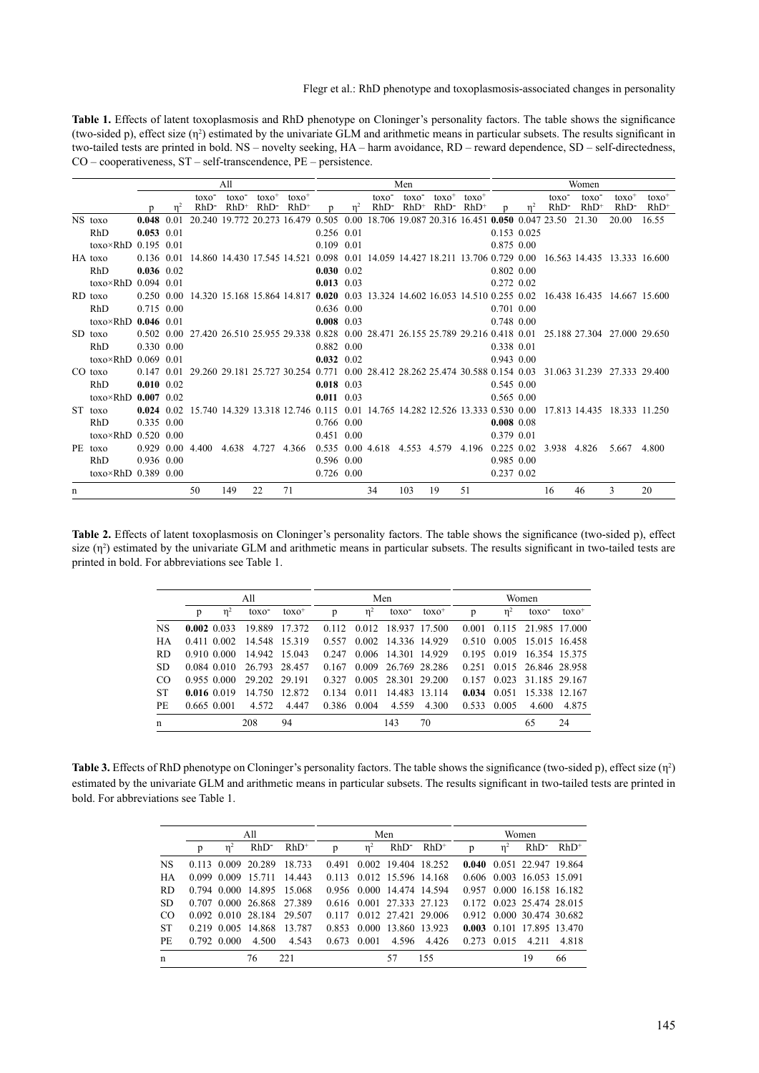**Table 1.** Effects of latent toxoplasmosis and RhD phenotype on Cloninger's personality factors. The table shows the significance (two-sided p), effect size  $(\eta^2)$  estimated by the univariate GLM and arithmetic means in particular subsets. The results significant in two-tailed tests are printed in bold. NS – novelty seeking, HA – harm avoidance, RD – reward dependence, SD – self-directedness, CO – cooperativeness, ST – self-transcendence, PE – persistence.

|   |                              |                    |      |                                                                                          | A11                          |                    |                                                                               | Men                |                |                                                    |                              | Women              |                    |                |             |                          |                              |                |                    |
|---|------------------------------|--------------------|------|------------------------------------------------------------------------------------------|------------------------------|--------------------|-------------------------------------------------------------------------------|--------------------|----------------|----------------------------------------------------|------------------------------|--------------------|--------------------|----------------|-------------|--------------------------|------------------------------|----------------|--------------------|
|   |                              | n                  | 'n   | toxo <sup>-</sup><br>$RhD$ -                                                             | toxo <sup>-</sup><br>$RhD^+$ | $toxo+$<br>$RhD$ - | $toxo+$<br>$RhD^+$                                                            | n                  | n <sup>2</sup> | toxo <sup>-</sup><br>$RhD$ -                       | toxo <sup>-</sup><br>$RhD^+$ | $toxo+$<br>$RhD^-$ | $toxo+$<br>$RhD^+$ |                | $n^2$       | toxo <sup>-</sup><br>RhD | toxo <sup>-</sup><br>$RhD^+$ | $toxo+$<br>RhD | $toxo+$<br>$RhD^+$ |
|   | NS toxo                      | 0.048              | 0.01 |                                                                                          |                              |                    | 20.240 19.772 20.273 16.479 0.505                                             |                    |                | 0.00 18.706 19.087 20.316 16.451 0.050 0.047 23.50 |                              |                    |                    |                |             |                          | 21.30                        | 20.00          | 16.55              |
|   | RhD                          | $0.053$ 0.01       |      |                                                                                          |                              |                    |                                                                               | 0.256 0.01         |                |                                                    |                              |                    |                    |                | 0.153 0.025 |                          |                              |                |                    |
|   | toxo×RhD 0.195 0.01          |                    |      |                                                                                          |                              |                    |                                                                               | 0.109 0.01         |                |                                                    |                              |                    |                    | 0.875 0.00     |             |                          |                              |                |                    |
|   | HA toxo                      | 0.136 0.01         |      |                                                                                          |                              |                    | 14.860 14.430 17.545 14.521 0.098 0.01 14.059 14.427 18.211 13.706 0.729 0.00 |                    |                |                                                    |                              |                    |                    |                |             |                          | 16.563 14.435 13.333 16.600  |                |                    |
|   | RhD                          | $0.036$ 0.02       |      |                                                                                          |                              |                    |                                                                               | $0.030$ 0.02       |                |                                                    |                              |                    |                    | $0.802$ 0.00   |             |                          |                              |                |                    |
|   | toxo $\times$ RhD 0.094 0.01 |                    |      |                                                                                          |                              |                    |                                                                               | $0.013$ 0.03       |                |                                                    |                              |                    |                    | 0.272 0.02     |             |                          |                              |                |                    |
|   | RD toxo                      | $0.250 \cdot 0.00$ |      |                                                                                          |                              |                    | 14.320 15.168 15.864 14.817 0.020 0.03 13.324 14.602 16.053 14.510 0.255 0.02 |                    |                |                                                    |                              |                    |                    |                |             |                          | 16.438 16.435 14.667 15.600  |                |                    |
|   | RhD                          | 0.715 0.00         |      |                                                                                          |                              |                    |                                                                               | $0.636$ 0.00       |                |                                                    |                              |                    |                    | 0.701 0.00     |             |                          |                              |                |                    |
|   | toxo $\times$ RhD 0.046 0.01 |                    |      |                                                                                          |                              |                    |                                                                               | $0.008$ 0.03       |                |                                                    |                              |                    |                    | $0.748$ 0.00   |             |                          |                              |                |                    |
|   | SD toxo                      |                    |      | 0.502 0.00 27.420 26.510 25.955 29.338 0.828 0.00 28.471 26.155 25.789 29.216 0.418 0.01 |                              |                    |                                                                               |                    |                |                                                    |                              |                    |                    |                |             |                          | 25.188.27.304 27.000 29.650  |                |                    |
|   | RhD                          | 0.330 0.00         |      |                                                                                          |                              |                    |                                                                               | 0.882 0.00         |                |                                                    |                              |                    |                    | 0.338 0.01     |             |                          |                              |                |                    |
|   | toxo $\times$ RhD 0.069 0.01 |                    |      |                                                                                          |                              |                    |                                                                               | $0.032 \quad 0.02$ |                |                                                    |                              |                    |                    | $0.943$ 0.00   |             |                          |                              |                |                    |
|   | CO toxo                      | $0.147$ 0.01       |      | 29.260 29.181 25.727 30.254 0.771 0.00 28.412 28.262 25.474 30.588 0.154 0.03            |                              |                    |                                                                               |                    |                |                                                    |                              |                    |                    |                |             |                          | 31.063 31.239 27.333 29.400  |                |                    |
|   | RhD                          | $0.010$ 0.02       |      |                                                                                          |                              |                    |                                                                               | $0.018$ 0.03       |                |                                                    |                              |                    |                    | 0.545 0.00     |             |                          |                              |                |                    |
|   | toxo $\times$ RhD 0.007 0.02 |                    |      |                                                                                          |                              |                    |                                                                               | $0.011$ 0.03       |                |                                                    |                              |                    |                    | $0.565$ $0.00$ |             |                          |                              |                |                    |
|   | ST toxo                      | $0.024 \quad 0.02$ |      |                                                                                          |                              |                    | 15.740 14.329 13.318 12.746 0.115 0.01 14.765 14.282 12.526 13.333 0.530 0.00 |                    |                |                                                    |                              |                    |                    |                |             |                          | 17.813 14.435 18.333 11.250  |                |                    |
|   | RhD                          | 0.335 0.00         |      |                                                                                          |                              |                    |                                                                               | 0.766 0.00         |                |                                                    |                              |                    |                    | $0.008$ 0.08   |             |                          |                              |                |                    |
|   | toxo $\times$ RhD 0.520 0.00 |                    |      |                                                                                          |                              |                    |                                                                               | 0.451 0.00         |                |                                                    |                              |                    |                    | 0.379 0.01     |             |                          |                              |                |                    |
|   | PE toxo                      | 0.929 0.00         |      | 4.400                                                                                    | 4.638 4.727                  |                    | 4.366                                                                         |                    |                | $0.535$ $0.00$ 4.618                               | 4.553 4.579                  |                    | 4.196              | $0.225$ 0.02   |             | 3.938                    | 4.826                        | 5.667          | 4.800              |
|   | RhD                          | 0.936 0.00         |      |                                                                                          |                              |                    |                                                                               | 0.596 0.00         |                |                                                    |                              |                    |                    | 0.985 0.00     |             |                          |                              |                |                    |
|   | toxo $\times$ RhD 0.389 0.00 |                    |      |                                                                                          |                              |                    |                                                                               | $0.726$ 0.00       |                |                                                    |                              |                    |                    | 0.237 0.02     |             |                          |                              |                |                    |
| n |                              |                    |      | 50                                                                                       | 149                          | 22                 | 71                                                                            |                    |                | 34                                                 | 103                          | 19                 | 51                 |                |             | 16                       | 46                           | 3              | 20                 |

**Table 2.** Effects of latent toxoplasmosis on Cloninger's personality factors. The table shows the significance (two-sided p), effect size  $(\eta^2)$  estimated by the univariate GLM and arithmetic means in particular subsets. The results significant in two-tailed tests are printed in bold. For abbreviations see Table 1.

|           |               |          | All               |               |       |          | Men                 |               | Women |          |                     |         |  |
|-----------|---------------|----------|-------------------|---------------|-------|----------|---------------------|---------------|-------|----------|---------------------|---------|--|
|           | p             | $\eta^2$ | toxo <sup>-</sup> | $toxo+$       | p     | $\eta^2$ | toxo <sup>-</sup>   | $toxo^+$      | p     | $\eta^2$ | toxo <sup>-</sup>   | $toxo+$ |  |
| <b>NS</b> | $0.002$ 0.033 |          | 19.889            | 17.372        | 0.112 |          | 0.012 18.937 17.500 |               | 0.001 |          | 0.115 21.985 17.000 |         |  |
| <b>HA</b> | 0.411 0.002   |          | 14.548            | 15.319        | 0.557 |          | 0.002 14.336 14.929 |               | 0.510 |          | 0.005 15.015 16.458 |         |  |
| <b>RD</b> | 0.910 0.000   |          |                   | 14.942 15.043 | 0.247 | 0.006    | 14.301 14.929       |               | 0.195 | 0.019    | 16.354 15.375       |         |  |
| <b>SD</b> | 0.084 0.010   |          | 26.793 28.457     |               | 0.167 | 0.009    | 26.769 28.286       |               | 0.251 |          | 0.015 26.846 28.958 |         |  |
| CO        | 0.955 0.000   |          | 29.202            | 29 191        | 0.327 | 0.005    | 28.301 29.200       |               | 0.157 | 0.023    | 31.185 29.167       |         |  |
| <b>ST</b> | 0.0160019     |          | 14.750            | 12.872        | 0.134 | 0.011    |                     | 14.483 13.114 | 0.034 | 0.051    | 15.338 12.167       |         |  |
| PF.       | 0.665 0.001   |          | 4.572             | 4.447         | 0.386 | 0.004    | 4.559               | 4.300         | 0.533 | 0.005    | 4.600               | 4.875   |  |
| n         |               |          | 208               | 94            |       |          | 143                 | 70            |       |          | 65                  | 24      |  |

**Table 3.** Effects of RhD phenotype on Cloninger's personality factors. The table shows the significance (two-sided p), effect size  $(\eta^2)$ estimated by the univariate GLM and arithmetic means in particular subsets. The results significant in two-tailed tests are printed in bold. For abbreviations see Table 1.

|           |   |             | All                |                           |       |                     | Men   |                           | Women |          |                           |         |  |
|-----------|---|-------------|--------------------|---------------------------|-------|---------------------|-------|---------------------------|-------|----------|---------------------------|---------|--|
|           | p | $\eta^2$    | $RhD^-$            | $RhD^+$                   | p     | $\eta^2$            |       | $RhD^*$ $RhD^*$           | p     | $\eta^2$ | RhD <sup>-</sup>          | $RhD^+$ |  |
| <b>NS</b> |   |             | 0.113 0.009 20.289 | 18.733                    | 0.491 |                     |       | 0.002 19.404 18.252       |       |          | 0.040 0.051 22.947 19.864 |         |  |
| <b>HA</b> |   |             |                    | 0.099 0.009 15.711 14.443 |       |                     |       | 0.113 0.012 15.596 14.168 |       |          | 0.606 0.003 16.053 15.091 |         |  |
| RD.       |   |             |                    | 0.794 0.000 14.895 15.068 |       |                     |       | 0.956 0.000 14.474 14.594 |       |          | 0.957 0.000 16.158 16.182 |         |  |
| <b>SD</b> |   |             |                    | 0.707 0.000 26.868 27.389 |       |                     |       | 0.616 0.001 27.333 27.123 |       |          | 0.172 0.023 25.474 28.015 |         |  |
| CO        |   |             |                    | 0.092 0.010 28.184 29.507 |       |                     |       | 0.117 0.012 27.421 29.006 |       |          | 0.912 0.000 30.474 30.682 |         |  |
| <b>ST</b> |   |             |                    | 0.219 0.005 14.868 13.787 | 0.853 |                     |       | 0.000 13.860 13.923       |       |          | 0.003 0.101 17.895 13.470 |         |  |
| PE        |   | 0.792 0.000 | 4.500              | 4.543                     |       | $0.673 \quad 0.001$ | 4.596 | 4.426                     |       |          | $0.273$ $0.015$ 4.211     | 4.818   |  |
| n         |   |             | 76                 | 221                       |       |                     | 57    | 155                       |       |          | 19                        | 66      |  |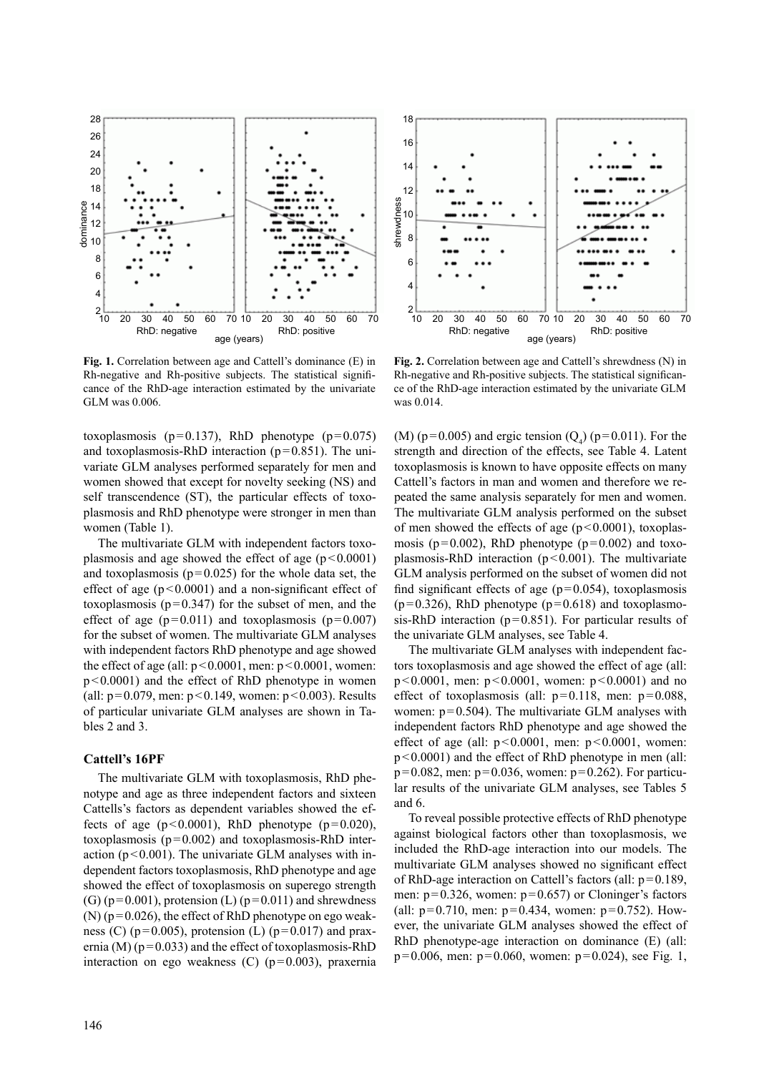

**Fig. 1.** Correlation between age and Cattell's dominance (E) in Rh-negative and Rh-positive subjects. The statistical significance of the RhD-age interaction estimated by the univariate GLM was 0.006.

toxoplasmosis ( $p=0.137$ ), RhD phenotype ( $p=0.075$ ) and toxoplasmosis-RhD interaction  $(p=0.851)$ . The univariate GLM analyses performed separately for men and women showed that except for novelty seeking (NS) and self transcendence (ST), the particular effects of toxoplasmosis and RhD phenotype were stronger in men than women (Table 1).

The multivariate GLM with independent factors toxoplasmosis and age showed the effect of age  $(p<0.0001)$ and toxoplasmosis ( $p=0.025$ ) for the whole data set, the effect of age  $(p<0.0001)$  and a non-significant effect of toxoplasmosis ( $p=0.347$ ) for the subset of men, and the effect of age  $(p=0.011)$  and toxoplasmosis  $(p=0.007)$ for the subset of women. The multivariate GLM analyses with independent factors RhD phenotype and age showed the effect of age (all:  $p < 0.0001$ , men:  $p < 0.0001$ , women: p<0.0001) and the effect of RhD phenotype in women (all:  $p=0.079$ , men:  $p<0.149$ , women:  $p<0.003$ ). Results of particular univariate GLM analyses are shown in Tables 2 and 3.

## **Cattell's 16PF**

The multivariate GLM with toxoplasmosis, RhD phenotype and age as three independent factors and sixteen Cattells's factors as dependent variables showed the effects of age  $(p<0.0001)$ , RhD phenotype  $(p=0.020)$ , toxoplasmosis (p=0.002) and toxoplasmosis-RhD interaction ( $p < 0.001$ ). The univariate GLM analyses with independent factors toxoplasmosis, RhD phenotype and age showed the effect of toxoplasmosis on superego strength (G) ( $p=0.001$ ), protension (L) ( $p=0.011$ ) and shrewdness  $(N)$  ( $p=0.026$ ), the effect of RhD phenotype on ego weakness (C) ( $p=0.005$ ), protension (L) ( $p=0.017$ ) and praxernia (M) ( $p=0.033$ ) and the effect of toxoplasmosis-RhD interaction on ego weakness (C) (p=0.003), praxernia



**Fig. 2.** Correlation between age and Cattell's shrewdness (N) in Rh-negative and Rh-positive subjects. The statistical significance of the RhD-age interaction estimated by the univariate GLM was 0.014.

(M) ( $p=0.005$ ) and ergic tension ( $Q_4$ ) ( $p=0.011$ ). For the strength and direction of the effects, see Table 4. Latent toxoplasmosis is known to have opposite effects on many Cattell's factors in man and women and therefore we repeated the same analysis separately for men and women. The multivariate GLM analysis performed on the subset of men showed the effects of age  $(p<0.0001)$ , toxoplasmosis ( $p=0.002$ ), RhD phenotype ( $p=0.002$ ) and toxoplasmosis-RhD interaction ( $p < 0.001$ ). The multivariate GLM analysis performed on the subset of women did not find significant effects of age  $(p=0.054)$ , toxoplasmosis  $(p=0.326)$ , RhD phenotype  $(p=0.618)$  and toxoplasmosis-RhD interaction ( $p=0.851$ ). For particular results of the univariate GLM analyses, see Table 4.

The multivariate GLM analyses with independent factors toxoplasmosis and age showed the effect of age (all: p<0.0001, men: p<0.0001, women: p<0.0001) and no effect of toxoplasmosis (all:  $p=0.118$ , men:  $p=0.088$ , women:  $p=0.504$ ). The multivariate GLM analyses with independent factors RhD phenotype and age showed the effect of age (all:  $p<0.0001$ , men:  $p<0.0001$ , women: p<0.0001) and the effect of RhD phenotype in men (all:  $p=0.082$ , men:  $p=0.036$ , women:  $p=0.262$ ). For particular results of the univariate GLM analyses, see Tables 5 and 6.

To reveal possible protective effects of RhD phenotype against biological factors other than toxoplasmosis, we included the RhD-age interaction into our models. The multivariate GLM analyses showed no significant effect of RhD-age interaction on Cattell's factors (all: p=0.189, men:  $p=0.326$ , women:  $p=0.657$ ) or Cloninger's factors (all:  $p=0.710$ , men:  $p=0.434$ , women:  $p=0.752$ ). However, the univariate GLM analyses showed the effect of RhD phenotype-age interaction on dominance (E) (all:  $p=0.006$ , men:  $p=0.060$ , women:  $p=0.024$ ), see Fig. 1,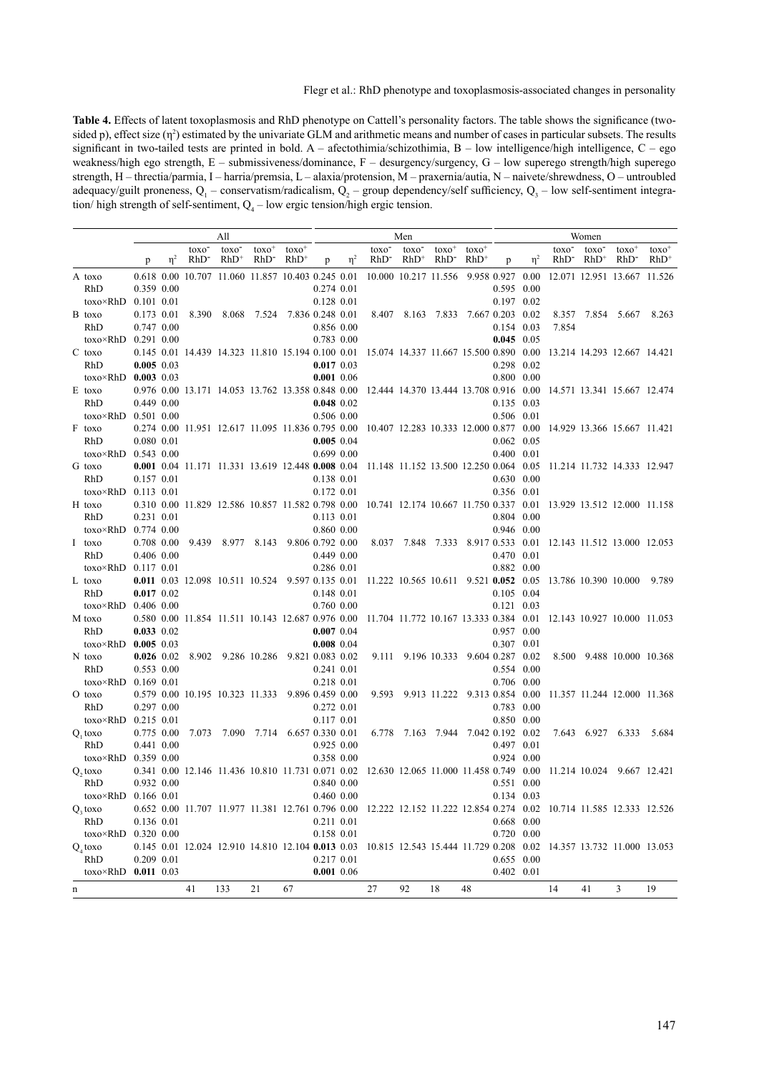**Table 4.** Effects of latent toxoplasmosis and RhD phenotype on Cattell's personality factors. The table shows the significance (twosided p), effect size ( $\eta^2$ ) estimated by the univariate GLM and arithmetic means and number of cases in particular subsets. The results significant in two-tailed tests are printed in bold. A – afectothimia/schizothimia, B – low intelligence/high intelligence, C – ego weakness/high ego strength, E – submissiveness/dominance, F – desurgency/surgency, G – low superego strength/high superego strength, H – threctia/parmia, I – harria/premsia, L – alaxia/protension, M – praxernia/autia, N – naivete/shrewdness, O – untroubled adequacy/guilt proneness,  $Q_1$  – conservatism/radicalism,  $Q_2$  – group dependency/self sufficiency,  $Q_3$  – low self-sentiment integration/ high strength of self-sentiment,  $Q_4$  – low ergic tension/high ergic tension.

|   |                              | All            |          |                           |                                                   |                    | Men                |                  |          |                           |                             |                     | Women                                                                                                                |                    |          |                             |                              |                             |                    |
|---|------------------------------|----------------|----------|---------------------------|---------------------------------------------------|--------------------|--------------------|------------------|----------|---------------------------|-----------------------------|---------------------|----------------------------------------------------------------------------------------------------------------------|--------------------|----------|-----------------------------|------------------------------|-----------------------------|--------------------|
|   |                              | p              | $\eta^2$ | toxo <sup>-</sup><br>RhD- | toxo <sup>-</sup><br>$RhD^+$                      | $toxo+$<br>$RhD^-$ | $toxo+$<br>$RhD^+$ | p                | $\eta^2$ | toxo <sup>-</sup><br>RhD- | toxo <sup>-</sup><br>$RhD+$ | $toxo^+$<br>$RhD^-$ | $toxo+$<br>$RhD^+$                                                                                                   | p                  | $\eta^2$ | toxo <sup>-</sup><br>RhD-   | toxo <sup>-</sup><br>$RhD^+$ | $toxo+$<br>RhD-             | $toxo+$<br>$RhD^+$ |
|   |                              |                |          |                           |                                                   |                    |                    |                  |          |                           |                             |                     |                                                                                                                      |                    |          |                             |                              |                             |                    |
|   | A toxo<br>RhD                | 0.359 0.00     |          |                           | 0.618 0.00 10.707 11.060 11.857 10.403 0.245 0.01 |                    |                    | $0.274$ $0.01$   |          |                           | 10.000 10.217 11.556        |                     | 9.958 0.927 0.00                                                                                                     | $0.595$ 0.00       |          |                             |                              | 12.071 12.951 13.667 11.526 |                    |
|   | $toxo \times RhD$            | $0.101$ $0.01$ |          |                           |                                                   |                    |                    | 0.128 0.01       |          |                           |                             |                     |                                                                                                                      | 0.197 0.02         |          |                             |                              |                             |                    |
|   | B toxo                       | 0.173 0.01     |          | 8.390                     | 8.068                                             | 7.524              |                    | 7.836 0.248 0.01 |          | 8.407                     |                             | 8.163 7.833         | 7.667 0.203 0.02                                                                                                     |                    |          |                             | 8.357 7.854 5.667            |                             | 8.263              |
|   | RhD                          | 0.747 0.00     |          |                           |                                                   |                    |                    | 0.856 0.00       |          |                           |                             |                     |                                                                                                                      | $0.154$ 0.03       |          | 7.854                       |                              |                             |                    |
|   | $toxo \times RhD$            | 0.291 0.00     |          |                           |                                                   |                    |                    | 0.783 0.00       |          |                           |                             |                     |                                                                                                                      | $0.045$ 0.05       |          |                             |                              |                             |                    |
|   | $C$ toxo                     |                |          |                           | 0.145 0.01 14.439 14.323 11.810 15.194 0.100 0.01 |                    |                    |                  |          |                           |                             |                     | 15.074 14.337 11.667 15.500 0.890 0.00                                                                               |                    |          |                             |                              | 13.214 14.293 12.667 14.421 |                    |
|   | RhD                          | $0.005$ 0.03   |          |                           |                                                   |                    |                    | $0.017$ 0.03     |          |                           |                             |                     |                                                                                                                      | 0.298 0.02         |          |                             |                              |                             |                    |
|   | toxo×RhD                     | $0.003$ 0.03   |          |                           |                                                   |                    |                    | $0.001$ 0.06     |          |                           |                             |                     |                                                                                                                      | $0.800$ $0.00$     |          |                             |                              |                             |                    |
|   | E toxo                       |                |          |                           |                                                   |                    |                    |                  |          |                           |                             |                     | 0.976 0.00 13.171 14.053 13.762 13.358 0.848 0.00 12.444 14.370 13.444 13.708 0.916 0.00                             |                    |          |                             |                              | 14.571 13.341 15.667 12.474 |                    |
|   | RhD                          | 0.449 0.00     |          |                           |                                                   |                    |                    | $0.048$ 0.02     |          |                           |                             |                     |                                                                                                                      | $0.135$ 0.03       |          |                             |                              |                             |                    |
|   | $toxo \times RhD$            | $0.501$ $0.00$ |          |                           |                                                   |                    |                    | 0.506 0.00       |          |                           |                             |                     |                                                                                                                      | 0.506 0.01         |          |                             |                              |                             |                    |
|   | F toxo                       |                |          |                           | 0.274 0.00 11.951 12.617 11.095 11.836 0.795 0.00 |                    |                    |                  |          |                           |                             |                     | 10.407 12.283 10.333 12.000 0.877 0.00                                                                               |                    |          |                             |                              | 14.929 13.366 15.667 11.421 |                    |
|   | RhD                          | 0.080 0.01     |          |                           |                                                   |                    |                    | $0.005$ 0.04     |          |                           |                             |                     |                                                                                                                      | $0.062$ 0.05       |          |                             |                              |                             |                    |
|   | $toxo \times RhD$            | $0.543$ $0.00$ |          |                           |                                                   |                    |                    | 0.699 0.00       |          |                           |                             |                     |                                                                                                                      | $0.400$ $0.01$     |          |                             |                              |                             |                    |
|   | G toxo                       |                |          |                           |                                                   |                    |                    |                  |          |                           |                             |                     | 0.001 0.04 11.171 11.331 13.619 12.448 0.008 0.04 11.148 11.152 13.500 12.250 0.064 0.05                             |                    |          |                             |                              | 11.214 11.732 14.333 12.947 |                    |
|   | RhD                          | 0.157 0.01     |          |                           |                                                   |                    |                    | 0.138 0.01       |          |                           |                             |                     |                                                                                                                      | $0.630 \quad 0.00$ |          |                             |                              |                             |                    |
|   | $toxo \times RhD$            | $0.113$ $0.01$ |          |                           |                                                   |                    |                    | 0.172 0.01       |          |                           |                             |                     |                                                                                                                      | 0.356 0.01         |          |                             |                              |                             |                    |
|   | H toxo                       |                |          |                           | 0.310 0.00 11.829 12.586 10.857 11.582 0.798 0.00 |                    |                    |                  |          |                           |                             |                     | 10.741 12.174 10.667 11.750 0.337 0.01                                                                               |                    |          | 13.929 13.512 12.000 11.158 |                              |                             |                    |
|   | RhD                          | 0.231 0.01     |          |                           |                                                   |                    |                    | 0.113 0.01       |          |                           |                             |                     |                                                                                                                      | $0.804$ 0.00       |          |                             |                              |                             |                    |
|   | $toxo \times RhD$            | 0.774 0.00     |          |                           |                                                   |                    |                    | 0.860 0.00       |          |                           |                             |                     |                                                                                                                      | $0.946$ 0.00       |          |                             |                              |                             |                    |
|   | I toxo                       | 0.708 0.00     |          | 9.439                     |                                                   | 8.977 8.143        |                    | 9.806 0.792 0.00 |          |                           | 8.037 7.848 7.333           |                     | 8.917 0.533 0.01                                                                                                     |                    |          |                             |                              | 12.143 11.512 13.000 12.053 |                    |
|   | RhD                          | 0.406 0.00     |          |                           |                                                   |                    |                    | 0.449 0.00       |          |                           |                             |                     |                                                                                                                      | $0.470$ $0.01$     |          |                             |                              |                             |                    |
|   | $toxo \times RhD$            | $0.117$ $0.01$ |          |                           |                                                   |                    |                    | 0.286 0.01       |          |                           |                             |                     |                                                                                                                      | 0.882 0.00         |          |                             |                              |                             |                    |
|   | L toxo                       |                |          |                           | 0.011 0.03 12.098 10.511 10.524                   |                    |                    | 9.597 0.135 0.01 |          |                           |                             |                     | 11.222 10.565 10.611 9.521 0.052 0.05                                                                                |                    |          | 13.786 10.390 10.000        |                              |                             | 9.789              |
|   | RhD                          | $0.017$ $0.02$ |          |                           |                                                   |                    |                    | 0.148 0.01       |          |                           |                             |                     |                                                                                                                      | $0.105$ 0.04       |          |                             |                              |                             |                    |
|   | $toxo \times RhD$            | $0.406$ 0.00   |          |                           | 0.580 0.00 11.854 11.511 10.143 12.687 0.976 0.00 |                    |                    | 0.760 0.00       |          |                           |                             |                     | 11.704 11.772 10.167 13.333 0.384 0.01                                                                               | $0.121$ 0.03       |          |                             |                              | 12.143 10.927 10.000 11.053 |                    |
|   | M toxo<br>RhD                | $0.033$ $0.02$ |          |                           |                                                   |                    |                    | $0.007$ 0.04     |          |                           |                             |                     |                                                                                                                      | 0.957 0.00         |          |                             |                              |                             |                    |
|   | $toxo \times RhD$            | $0.005$ 0.03   |          |                           |                                                   |                    |                    | $0.008$ 0.04     |          |                           |                             |                     |                                                                                                                      | $0.307$ 0.01       |          |                             |                              |                             |                    |
|   | N toxo                       | $0.026$ 0.02   |          | 8.902                     |                                                   | 9.286 10.286       |                    | 9.821 0.083 0.02 |          |                           | 9.111 9.196 10.333          |                     | 9.604 0.287 0.02                                                                                                     |                    |          |                             |                              | 8.500 9.488 10.000 10.368   |                    |
|   | RhD                          | 0.553 0.00     |          |                           |                                                   |                    |                    | $0.241$ $0.01$   |          |                           |                             |                     |                                                                                                                      | 0.554 0.00         |          |                             |                              |                             |                    |
|   | $toxo \times RhD$            | 0.169 0.01     |          |                           |                                                   |                    |                    | 0.218 0.01       |          |                           |                             |                     |                                                                                                                      | 0.706 0.00         |          |                             |                              |                             |                    |
|   | O toxo                       |                |          |                           | 0.579 0.00 10.195 10.323 11.333                   |                    |                    | 9.896 0.459 0.00 |          | 9.593                     |                             | 9.913 11.222        | 9.313 0.854 0.00                                                                                                     |                    |          |                             |                              | 11.357 11.244 12.000 11.368 |                    |
|   | RhD                          | 0.297 0.00     |          |                           |                                                   |                    |                    | $0.272$ 0.01     |          |                           |                             |                     |                                                                                                                      | $0.783$ 0.00       |          |                             |                              |                             |                    |
|   | $toxo \times RhD$            | $0.215$ 0.01   |          |                           |                                                   |                    |                    | 0.117 0.01       |          |                           |                             |                     |                                                                                                                      | 0.850 0.00         |          |                             |                              |                             |                    |
|   | Q, toxo                      | $0.775$ 0.00   |          | 7.073                     | 7.090                                             | 7.714              |                    | 6.657 0.330 0.01 |          | 6.778                     |                             | 7.163 7.944         | 7.042 0.192 0.02                                                                                                     |                    |          |                             | 7.643 6.927 6.333            |                             | 5.684              |
|   | RhD                          | 0.441 0.00     |          |                           |                                                   |                    |                    | $0.925$ $0.00$   |          |                           |                             |                     |                                                                                                                      | 0.497 0.01         |          |                             |                              |                             |                    |
|   | toxo $\times$ RhD 0.359 0.00 |                |          |                           |                                                   |                    |                    | 0.358 0.00       |          |                           |                             |                     |                                                                                                                      | 0.924 0.00         |          |                             |                              |                             |                    |
|   | $Q$ , toxo                   |                |          |                           | 0.341 0.00 12.146 11.436 10.810 11.731 0.071 0.02 |                    |                    |                  |          |                           |                             |                     | 12.630 12.065 11.000 11.458 0.749 0.00                                                                               |                    |          |                             |                              | 11.214 10.024 9.667 12.421  |                    |
|   | RhD                          | 0.932 0.00     |          |                           |                                                   |                    |                    | 0.840 0.00       |          |                           |                             |                     |                                                                                                                      | 0.551 0.00         |          |                             |                              |                             |                    |
|   | toxo×RhD 0.166 0.01          |                |          |                           |                                                   |                    |                    | 0.460 0.00       |          |                           |                             |                     |                                                                                                                      | 0.134 0.03         |          |                             |                              |                             |                    |
|   | $Q_3$ toxo                   |                |          |                           |                                                   |                    |                    |                  |          |                           |                             |                     | 0.652 0.00 11.707 11.977 11.381 12.761 0.796 0.00 12.222 12.152 11.222 12.854 0.274 0.02 10.714 11.585 12.333 12.526 |                    |          |                             |                              |                             |                    |
|   | RhD                          | 0.136 0.01     |          |                           |                                                   |                    |                    | 0.211 0.01       |          |                           |                             |                     |                                                                                                                      | $0.668$ 0.00       |          |                             |                              |                             |                    |
|   | toxo×RhD 0.320 0.00          |                |          |                           |                                                   |                    |                    | 0.158 0.01       |          |                           |                             |                     |                                                                                                                      | 0.720 0.00         |          |                             |                              |                             |                    |
|   | $Q_4$ toxo                   |                |          |                           |                                                   |                    |                    |                  |          |                           |                             |                     | 0.145 0.01 12.024 12.910 14.810 12.104 0.013 0.03 10.815 12.543 15.444 11.729 0.208 0.02 14.357 13.732 11.000 13.053 |                    |          |                             |                              |                             |                    |
|   | RhD                          | 0.209 0.01     |          |                           |                                                   |                    |                    | 0.217 0.01       |          |                           |                             |                     |                                                                                                                      | $0.655$ 0.00       |          |                             |                              |                             |                    |
|   | $toxo \times RhD$ 0.011 0.03 |                |          |                           |                                                   |                    |                    | $0.001$ 0.06     |          |                           |                             |                     |                                                                                                                      | $0.402$ 0.01       |          |                             |                              |                             |                    |
| n |                              |                |          | 41                        | 133                                               | 21                 | 67                 |                  |          | 27                        | 92                          | 18                  | 48                                                                                                                   |                    |          | 14                          | 41                           | 3                           | 19                 |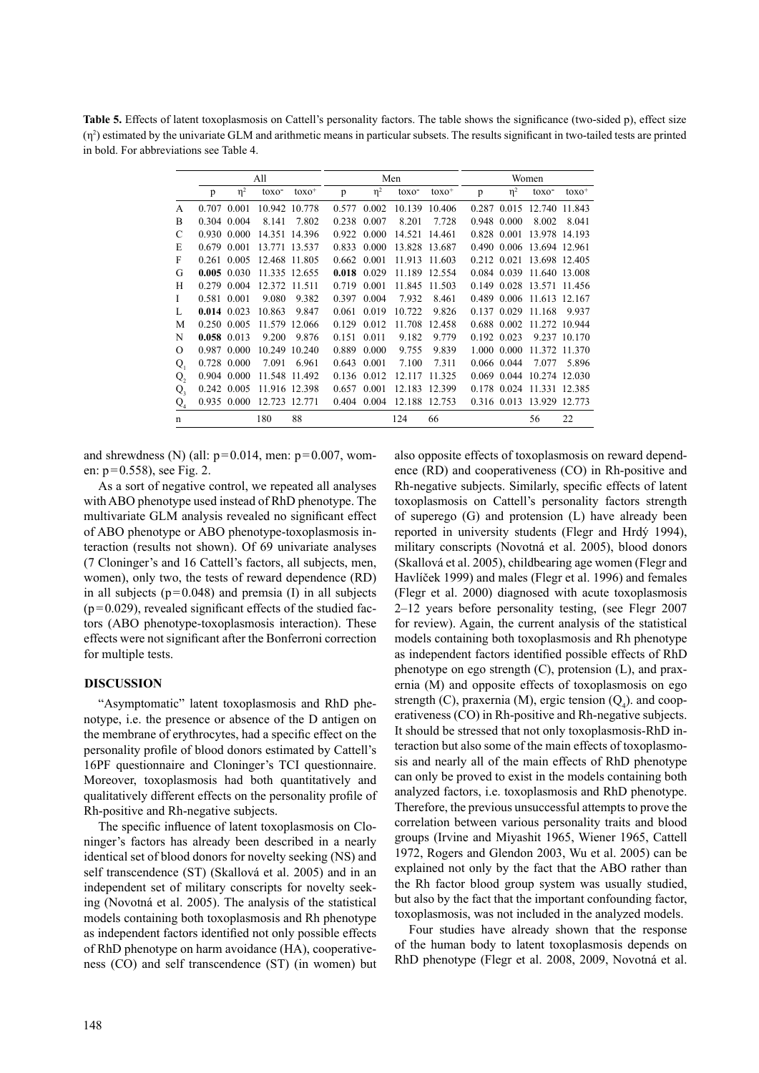**Table 5.** Effects of latent toxoplasmosis on Cattell's personality factors. The table shows the significance (two-sided p), effect size  $(\eta^2)$  estimated by the univariate GLM and arithmetic means in particular subsets. The results significant in two-tailed tests are printed in bold. For abbreviations see Table 4.

|                |       |          | All               |         |       |          | Men               |         |       |          | Women             |         |
|----------------|-------|----------|-------------------|---------|-------|----------|-------------------|---------|-------|----------|-------------------|---------|
|                | p     | $\eta^2$ | toxo <sup>-</sup> | $toxo+$ | p     | $\eta^2$ | toxo <sup>-</sup> | $toxo+$ | p     | $\eta^2$ | toxo <sup>-</sup> | $toxo+$ |
| A              | 0.707 | 0.001    | 10.942            | 10.778  | 0.577 | 0.002    | 10.139            | 10.406  | 0.287 | 0.015    | 12.740            | 11.843  |
| B              | 0.304 | 0.004    | 8.141             | 7.802   | 0.238 | 0.007    | 8.201             | 7.728   | 0.948 | 0.000    | 8.002             | 8.041   |
| C              | 0.930 | 0.000    | 14.351            | 14.396  | 0.922 | 0.000    | 14.521            | 14.461  | 0.828 | 0.001    | 13.978            | 14.193  |
| E              | 0.679 | 0.001    | 13.771            | 13.537  | 0.833 | 0.000    | 13.828            | 13.687  | 0.490 | 0.006    | 13.694            | 12.961  |
| F              | 0.261 | 0.005    | 12.468            | 11.805  | 0.662 | 0.001    | 11.913            | 11.603  | 0.212 | 0.021    | 13.698            | 12.405  |
| G              | 0.005 | 0.030    | 11.335            | 12.655  | 0.018 | 0.029    | 11.189            | 12.554  | 0.084 | 0.039    | 11.640            | 13.008  |
| H              | 0.279 | 0.004    | 12.372            | 11.511  | 0.719 | 0.001    | 11.845            | 11.503  | 0.149 | 0.028    | 13.571            | 11.456  |
| L              | 0.581 | 0.001    | 9.080             | 9.382   | 0.397 | 0.004    | 7.932             | 8.461   | 0.489 | 0.006    | 11.613            | 12.167  |
| L              | 0.014 | 0.023    | 10.863            | 9.847   | 0.061 | 0.019    | 10.722            | 9.826   | 0.137 | 0.029    | 11.168            | 9.937   |
| M              | 0.250 | 0.005    | 11.579            | 12.066  | 0.129 | 0.012    | 11.708            | 12.458  | 0.688 | 0.002    | 11.272            | 10.944  |
| N              | 0.058 | 0.013    | 9.200             | 9.876   | 0.151 | 0.011    | 9.182             | 9.779   | 0.192 | 0.023    | 9.237             | 10.170  |
| Ω              | 0.987 | 0.000    | 10.249            | 10.240  | 0.889 | 0.000    | 9.755             | 9.839   | 1.000 | 0.000    | 11.372            | 11.370  |
| $Q_{1}$        | 0.728 | 0.000    | 7.091             | 6.961   | 0.643 | 0.001    | 7.100             | 7.311   | 0.066 | 0.044    | 7.077             | 5.896   |
| Q,             | 0.904 | 0.000    | 11.548            | 11.492  | 0.136 | 0.012    | 12.117            | 11.325  | 0.069 | 0.044    | 10.274            | 12.030  |
| $Q_{\rm a}$    | 0.242 | 0.005    | 11.916            | 12.398  | 0.657 | 0.001    | 12.183            | 12.399  | 0.178 | 0.024    | 11.331            | 12.385  |
| Q <sub>4</sub> | 0.935 | 0.000    | 12.723            | 12.771  | 0.404 | 0.004    | 12.188            | 12.753  | 0.316 | 0.013    | 13.929            | 12.773  |
| n              |       |          | 180               | 88      |       |          | 124               | 66      |       |          | 56                | 22      |

and shrewdness (N) (all:  $p=0.014$ , men:  $p=0.007$ , women:  $p=0.558$ ), see Fig. 2.

As a sort of negative control, we repeated all analyses with ABO phenotype used instead of RhD phenotype. The multivariate GLM analysis revealed no significant effect of ABO phenotype or ABO phenotype-toxoplasmosis interaction (results not shown). Of 69 univariate analyses (7 Cloninger's and 16 Cattell's factors, all subjects, men, women), only two, the tests of reward dependence (RD) in all subjects  $(p=0.048)$  and premsia (I) in all subjects  $(p=0.029)$ , revealed significant effects of the studied factors (ABO phenotype-toxoplasmosis interaction). These effects were not significant after the Bonferroni correction for multiple tests.

#### **DISCUSSION**

"Asymptomatic" latent toxoplasmosis and RhD phenotype, i.e. the presence or absence of the D antigen on the membrane of erythrocytes, had a specific effect on the personality profile of blood donors estimated by Cattell's 16PF questionnaire and Cloninger's TCI questionnaire. Moreover, toxoplasmosis had both quantitatively and qualitatively different effects on the personality profile of Rh-positive and Rh-negative subjects.

The specific influence of latent toxoplasmosis on Cloninger's factors has already been described in a nearly identical set of blood donors for novelty seeking (NS) and self transcendence (ST) (Skallová et al. 2005) and in an independent set of military conscripts for novelty seeking (Novotná et al. 2005). The analysis of the statistical models containing both toxoplasmosis and Rh phenotype as independent factors identified not only possible effects of RhD phenotype on harm avoidance (HA), cooperativeness (CO) and self transcendence (ST) (in women) but

also opposite effects of toxoplasmosis on reward dependence (RD) and cooperativeness (CO) in Rh-positive and Rh-negative subjects. Similarly, specific effects of latent toxoplasmosis on Cattell's personality factors strength of superego (G) and protension (L) have already been reported in university students (Flegr and Hrdý 1994), military conscripts (Novotná et al. 2005), blood donors (Skallová et al. 2005), childbearing age women (Flegr and Havlíček 1999) and males (Flegr et al. 1996) and females (Flegr et al. 2000) diagnosed with acute toxoplasmosis 2–12 years before personality testing, (see Flegr 2007 for review). Again, the current analysis of the statistical models containing both toxoplasmosis and Rh phenotype as independent factors identified possible effects of RhD phenotype on ego strength (C), protension (L), and praxernia (M) and opposite effects of toxoplasmosis on ego strength (C), praxernia (M), ergic tension  $(Q_4)$ . and cooperativeness (CO) in Rh-positive and Rh-negative subjects. It should be stressed that not only toxoplasmosis-RhD interaction but also some of the main effects of toxoplasmosis and nearly all of the main effects of RhD phenotype can only be proved to exist in the models containing both analyzed factors, i.e. toxoplasmosis and RhD phenotype. Therefore, the previous unsuccessful attempts to prove the correlation between various personality traits and blood groups (Irvine and Miyashit 1965, Wiener 1965, Cattell 1972, Rogers and Glendon 2003, Wu et al. 2005) can be explained not only by the fact that the ABO rather than the Rh factor blood group system was usually studied, but also by the fact that the important confounding factor, toxoplasmosis, was not included in the analyzed models.

Four studies have already shown that the response of the human body to latent toxoplasmosis depends on RhD phenotype (Flegr et al. 2008, 2009, Novotná et al.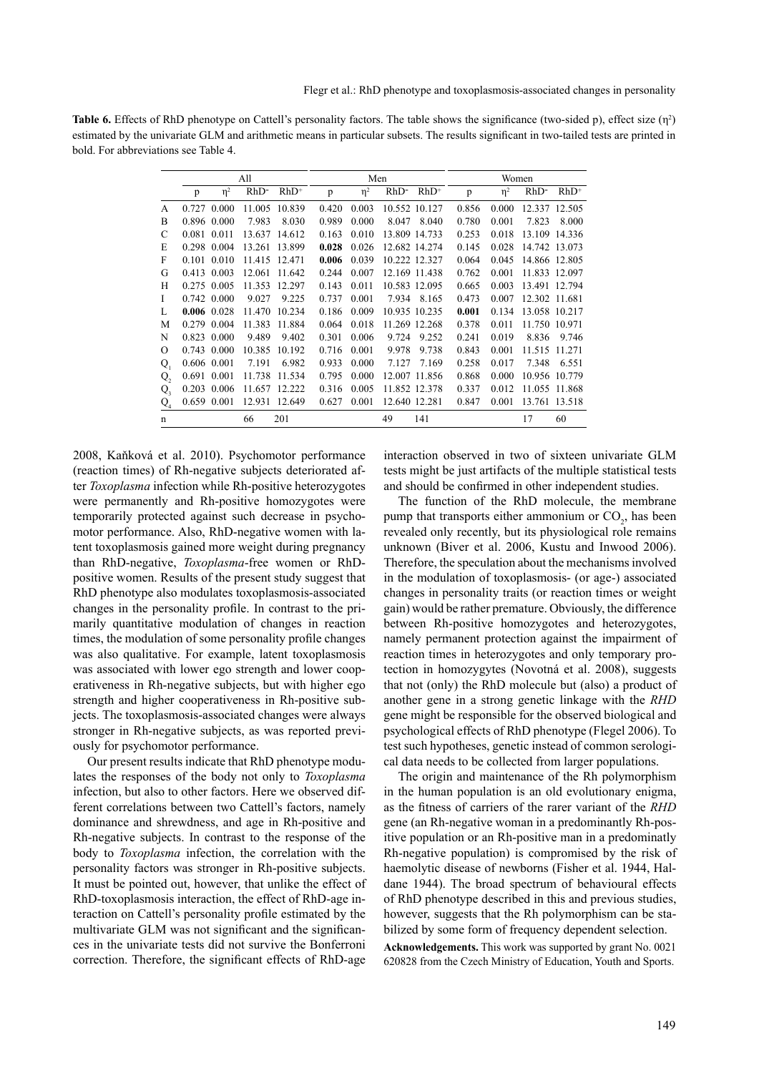**Table 6.** Effects of RhD phenotype on Cattell's personality factors. The table shows the significance (two-sided p), effect size  $(\eta^2)$ estimated by the univariate GLM and arithmetic means in particular subsets. The results significant in two-tailed tests are printed in bold. For abbreviations see Table 4.

|                |             |          | All     |         |       | Men      |         |               | Women |          |         |               |  |
|----------------|-------------|----------|---------|---------|-------|----------|---------|---------------|-------|----------|---------|---------------|--|
|                | p           | $\eta^2$ | $RhD^-$ | $RhD^+$ | p     | $\eta^2$ | $RhD^-$ | $RhD^+$       | p     | $\eta^2$ | $RhD^-$ | $RhD^+$       |  |
| A              | 0.727       | 0.000    | 11.005  | 10.839  | 0.420 | 0.003    |         | 10.552 10.127 | 0.856 | 0.000    | 12.337  | 12.505        |  |
| B              | 0.896       | 0.000    | 7.983   | 8.030   | 0.989 | 0.000    | 8.047   | 8.040         | 0.780 | 0.001    | 7.823   | 8.000         |  |
| C              | 0.081       | 0.011    | 13.637  | 14.612  | 0.163 | 0.010    | 13.809  | 14.733        | 0.253 | 0.018    | 13.109  | 14.336        |  |
| E              | 0.298       | 0.004    | 13.261  | 13.899  | 0.028 | 0.026    |         | 12.682 14.274 | 0.145 | 0.028    |         | 14.742 13.073 |  |
| F              | 0.101       | 0.010    | 11.415  | 12.471  | 0.006 | 0.039    |         | 10.222 12.327 | 0.064 | 0.045    |         | 14.866 12.805 |  |
| G              | 0.413       | 0.003    | 12.061  | 11.642  | 0.244 | 0.007    |         | 12.169 11.438 | 0.762 | 0.001    | 11.833  | 12.097        |  |
| H              | 0.275       | 0.005    | 11.353  | 12.297  | 0.143 | 0.011    |         | 10.583 12.095 | 0.665 | 0.003    | 13.491  | 12.794        |  |
| L              | 0.742       | 0.000    | 9.027   | 9.225   | 0.737 | 0.001    | 7.934   | 8.165         | 0.473 | 0.007    | 12.302  | 11.681        |  |
|                | 0.006       | 0.028    | 11.470  | 10.234  | 0.186 | 0.009    | 10.935  | 10.235        | 0.001 | 0.134    | 13.058  | 10.217        |  |
| M              | 0.279       | 0.004    | 11.383  | 11.884  | 0.064 | 0.018    | 11.269  | 12.268        | 0.378 | 0.011    | 11.750  | 10.971        |  |
| N              | 0.823       | 0.000    | 9.489   | 9.402   | 0.301 | 0.006    | 9.724   | 9.252         | 0.241 | 0.019    | 8.836   | 9.746         |  |
| O              | 0.743       | 0.000    | 10.385  | 10.192  | 0.716 | 0.001    | 9.978   | 9.738         | 0.843 | 0.001    | 11.515  | 11.271        |  |
| $Q_{1}$        | 0.606       | 0.001    | 7.191   | 6.982   | 0.933 | 0.000    | 7.127   | 7.169         | 0.258 | 0.017    | 7.348   | 6.551         |  |
| Q,             | 0.691 0.001 |          | 11.738  | 11.534  | 0.795 | 0.000    | 12.007  | 11.856        | 0.868 | 0.000    | 10.956  | 10.779        |  |
| $Q_{\tiny{3}}$ | 0.203       | 0.006    | 11.657  | 12.222  | 0.316 | 0.005    |         | 11.852 12.378 | 0.337 | 0.012    | 11.055  | 11.868        |  |
| $Q_{4}$        | 0.659       | 0.001    | 12.931  | 12.649  | 0.627 | 0.001    |         | 12.640 12.281 | 0.847 | 0.001    | 13.761  | 13.518        |  |
| n              |             |          | 66      | 201     |       |          | 49      | 141           |       |          | 17      | 60            |  |

2008, Kaňková et al. 2010). Psychomotor performance (reaction times) of Rh-negative subjects deteriorated after *Toxoplasma* infection while Rh-positive heterozygotes were permanently and Rh-positive homozygotes were temporarily protected against such decrease in psychomotor performance. Also, RhD-negative women with latent toxoplasmosis gained more weight during pregnancy than RhD-negative, *Toxoplasma*-free women or RhDpositive women. Results of the present study suggest that RhD phenotype also modulates toxoplasmosis-associated changes in the personality profile. In contrast to the primarily quantitative modulation of changes in reaction times, the modulation of some personality profile changes was also qualitative. For example, latent toxoplasmosis was associated with lower ego strength and lower cooperativeness in Rh-negative subjects, but with higher ego strength and higher cooperativeness in Rh-positive subjects. The toxoplasmosis-associated changes were always stronger in Rh-negative subjects, as was reported previously for psychomotor performance.

Our present results indicate that RhD phenotype modulates the responses of the body not only to *Toxoplasma* infection, but also to other factors. Here we observed different correlations between two Cattell's factors, namely dominance and shrewdness, and age in Rh-positive and Rh-negative subjects. In contrast to the response of the body to *Toxoplasma* infection, the correlation with the personality factors was stronger in Rh-positive subjects. It must be pointed out, however, that unlike the effect of RhD-toxoplasmosis interaction, the effect of RhD-age interaction on Cattell's personality profile estimated by the multivariate GLM was not significant and the significances in the univariate tests did not survive the Bonferroni correction. Therefore, the significant effects of RhD-age

interaction observed in two of sixteen univariate GLM tests might be just artifacts of the multiple statistical tests and should be confirmed in other independent studies.

The function of the RhD molecule, the membrane pump that transports either ammonium or  $CO<sub>2</sub>$ , has been revealed only recently, but its physiological role remains unknown (Biver et al. 2006, Kustu and Inwood 2006). Therefore, the speculation about the mechanisms involved in the modulation of toxoplasmosis- (or age-) associated changes in personality traits (or reaction times or weight gain) would be rather premature. Obviously, the difference between Rh-positive homozygotes and heterozygotes, namely permanent protection against the impairment of reaction times in heterozygotes and only temporary protection in homozygytes (Novotná et al. 2008), suggests that not (only) the RhD molecule but (also) a product of another gene in a strong genetic linkage with the *RHD* gene might be responsible for the observed biological and psychological effects of RhD phenotype (Flegel 2006). To test such hypotheses, genetic instead of common serological data needs to be collected from larger populations.

The origin and maintenance of the Rh polymorphism in the human population is an old evolutionary enigma, as the fitness of carriers of the rarer variant of the *RHD* gene (an Rh-negative woman in a predominantly Rh-positive population or an Rh-positive man in a predominatly Rh-negative population) is compromised by the risk of haemolytic disease of newborns (Fisher et al. 1944, Haldane 1944). The broad spectrum of behavioural effects of RhD phenotype described in this and previous studies, however, suggests that the Rh polymorphism can be stabilized by some form of frequency dependent selection.

**Acknowledgements.** This work was supported by grant No. 0021 620828 from the Czech Ministry of Education, Youth and Sports.